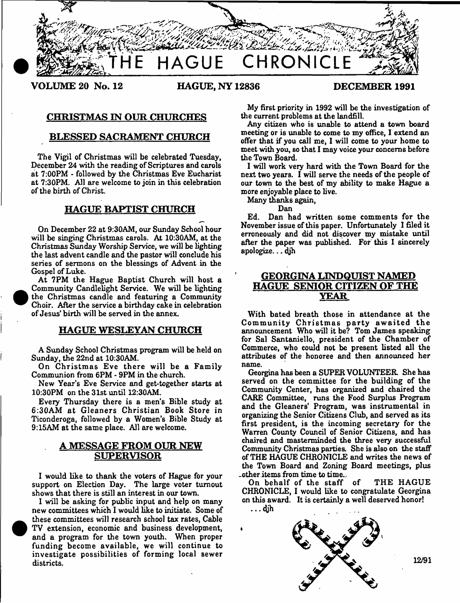

**VOLUME 20 No. 12 HAGUE, NY 12836 DECEMBER 1991**

 $\bullet$ 

 $\bullet$ 

# **CHRISTMAS IN OUR CHURCHES**

# **BLESSED SACRAMENT CHURCH**

**The Vigil of Christmas will be celebrated Tuesday, December 24 with the reading of Scriptures and carols at 7:00PM - followed by the Christmas Eve Eucharist at 7:30PM. All are welcome to join in this celebration of the birth of Christ.**

# **HAGUE BAPTIST CHURCH**

**On December 22 at 9:30AM, our Sunday School hour will be singing Christmas carols. At 10:30AM, at the Christmas Sunday Worship Service, we will be lighting the last advent candle and the pastor will conclude his series of sermons on the blessings of Advent in the Gospel of Luke.**

**At 7PM the Hague Baptist Church will host a Community Candlelight Service. We will be lighting the Christmas candle and featuring a Community Choir. After the service a birthday cake in celebration of Jesus' birth will be served in the annex.**

## **HAGUE WESLEYAN CHURCH**

**A Sunday School Christmas program will be held on Sunday, the 22nd at 10:30AM.**

On Christmas Eve there will be a Family **Communion from 6PM - 9PM in the church.**

**New Year's Eve Service and get-together starts at 10:30PM on the 31st until 12:30AM.**

**Every Thursday there is a men's Bible study at**  $6:30AM$  at Gleaners Christian Book Store in **Ticonderoga, followed by a Women's Bible Study at 9:15AM at the same place. All are welcome.**

# **A MESSAGE FROM OUR NEW SUPERVISOR**

**I would like to thank the voters of Hague for your support on Election Day. The large voter turnout shows that there is still an interest in our town.**

**I will be asking for public input and help on many new committees which 1 would like to initiate. Some of these committees will research school tax rates, Cable TV extension, economic and business development, and a program for the town youth. When proper funding become available, we will continue to investigate possibilities of forming local sewer districts.**

**My first priority in 1992 will be the investigation of the current problems at the landfill.**

**Any citizen who is unable to attend a town board meeting or is unable to come to my office, I extend an offer that if you call me, I will come to your home to meet with you, so that 1 may voice your concerns before the Town Board.**

**I will work very hard with the Town Board for the next two years. I will serve the needs of the people of our town to the best of my ability to make Hague a more enjoyable place to live.**

**Many thanks again,**

**Dan**

**Ed. Dan had written some comments for the November issue of this paper. Unfortunately I filed it erroneously and did not discover my mistake until after the paper was published. For this 1 sincerely apologize... djh**

# **GEORGINA LINDQUIST NAMED HAGUE SENIOR CITIZEN OF THE YEAR**

**With bated breath those in attendance at the** Community Christmas party awaited the **announcement Who will it be? Tom James speaking for Sal Santaniello, president of the Chamber of Commerce, who could not be present listed all the attributes of the honoree and then announced her name.**

**Georgina has been a SUPER VOLUNTEER. She has served on the committee for the building of the Community Center, has organized and chaired the CARE Committee, runs the Food Surplus Program and the Gleaners' Program, was instrumental in organizing the Senior Citizens Club, and served as its first president, is the incoming secretary for the Warren County Council of Senior Citizens, and has chaired and masterminded the three very successful Community Christmas parties. She is also on the staff of THE HAGUE CHRONICLE and writes the news of the Town Board and Zoning Board meetings, plus .other items from time to time..**

On behalf of the staff of THE HAGUE **CHRONICLE, I would like to congratulate Georgina on this award. It is certainly a well deserved honor! . • • <\*jh**



12/91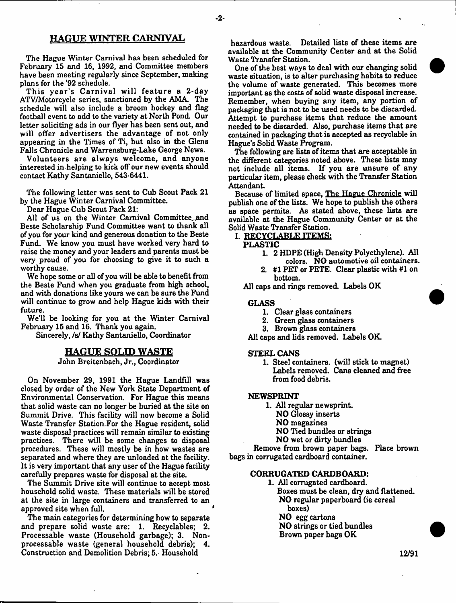### **HAGUE WINTER CARNIVAL**

**The Hague Winter Carnival has been scheduled for February 15 and 16, 1992, and Committee members have been meeting regularly since September, making plans for the '92 schedule.**

**T his y ea r's C arnival w ill featu re a 2-day ATV/Motorcycle series, sanctioned by the AMA. The schedule will also include a broom hockey and flag football event to add to the variety at North Pond. Our letter soliciting ads in our flyer has been sent out, and will offer advertisers the advantage of not only appearing in the Times of Ti, but also in the Glens Falls Chronicle and Warrensburg-Lake George News.**

**Volunteers are always welcome, and anyone interested in-helping to kick off our new events should contact Kathy Santaniello, 543-6441.**

**The following letter was sent to Cub Scout Pack 21 by the Hague Winter Carnival Committee.**

**Dear Hague Cub Scout Pack 21:**

All of us on the Winter Carnival Committee\_and **Beste Scholarship Fund Committee want to thank all of you for your kind and generous donation to the Beste Fund. We know you must have worked very hard to raise the money and your leaders and parents must be very proud of you for choosing to give it to such a worthy cause.**

**We hope some or all of you will be able to benefit from the Beste Fund when you graduate from high school, and with donations like yours we can be sure the Fund will continue to grow and help Hague kids with their future.**

**We'll be looking for you at the Winter Carnival February 15 and 16. Thank you again.**

**Sincerely, /s/ Kathy Santaniello, Coordinator**

### **HAGUE SOLID WASTE**

**John Breitenbach, Jr., Coordinator**

**On November 29, 1991 the Hague Landfill was closed by order of the New York State Department of Environmental Conservation. For Hague this means that solid waste can no longer be buried at the site on Summit Drive. This facility will now become a Solid Waste Transfer Station.For the Hague resident, solid waste disposal practices will remain similar to existing practices. There will be some changes to disposal procedures. These will mostly be in how wastes are separated and where they are unloaded at the facility. It is very important that any user of the Hague facility carefully prepares waste for disposal at the site.**

**The Summit Drive site will continue to accept most household solid waste. These materials will be stored at the site in large containers and transferred to an approved site when full.**

**The main categories for determining how to separate and prepare solid waste are: 1. Recyclables; 2. Processable waste (Household garbage); 3. Nonprocessable waste (general household debris); 4. Construction and Demolition Debris; 5. Household**

**hazardous waste. Detailed lists of these items are available at the Community Center and at the Solid Waste Transfer Station.**

**One of the best ways to deal with our changing solid waste situation, is to alter purchasing habits to reduce the volume of waste generated. This becomes more important as the costs of solid waste disposal increase. Remember, when buying any item, any portion of packaging that is not to be used needs to be discarded. Attempt to purchase items that reduce the amount needed to be discarded. Also, purchase items that are contained in packaging that is accepted as recyclable in Hague's Solid Waste Program.**

**The following are lists of items that are acceptable in the different categories noted above. These lists may not include all items. If you are unsure of any particular item, please check with the Transfer Station Attendant**

**Because of limited space, The Hague Chronicle will publish one of the lists. We hope to publish the others as space permits. As stated above, these lists are available at the Hague Community Center or at the Solid Waste Transfer Station.**

# **I. RECYCLABLE ITEMS:**

### **PLASTIC**

-2-

- **1. 2 HDPE (High Density Polyethylene). All**
- **colors. NO automotive oil containers. 2. #1 PET or PETE. Clear plastic with #1 on bottom.**

**All caps and rings removed. Labels OK**

### **GLASS**

- **1. Clear glass containers**
- **2. Green glass containers**
- **3. Brown glass containers**

**All caps and lids removed. Labels OK**

#### **STEEL CANS**

**1. Steel containers, (will stick to magnet) Labels removed. Cans cleaned and free from food debris.**

#### **NEWSPRINT**

- **1. All regular newsprint.**
	- **NO Glossy inserts**
	- **NO magazines**
	- **NO Tied bundles or strings**
	- **NO wet or dirty bundles**

**Remove from brown paper bags. Place brown bags in corrugated cardboard container.**

### **CORRUGATED CARDBOARD:**

**1. All corrugated cardboard. Boxes must be clean, dry and flattened. NO regular paperboard (ie cereal boxes) NO egg cartons**

**NO strings or tied bundles**

**Brown paper bags OK**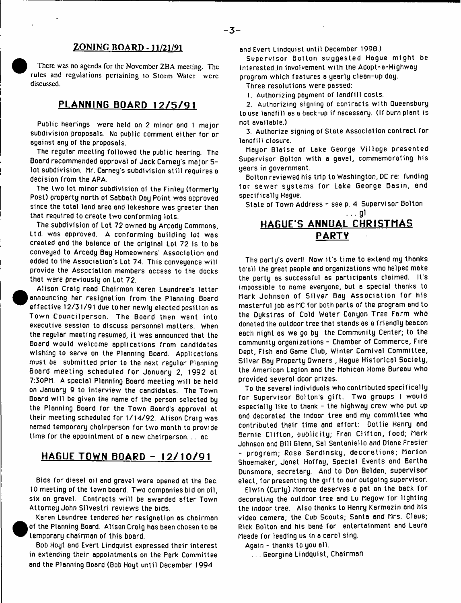# **ZONING BOARD -11/21/91**

There was no agenda for ihc November ZBA meeting. The rules and regulations pertaining to Storm Water were discussed.

# **PLANNING BOARD 12/5/91**

Public hearings were held on 2 minor and 1 major subdivision proposals. No public comment either for or against any of the proposals.

The regular meeting followed the public hearing. The Board recommended approval of Jack Carney's major 5 lot subdivision. Mr. Carney's subdivision still requires a decision from the APA.

The two lot minor subdivision of the Finley (formerly Post) property north of Sabbath Day Point was approved since the total land area end lekeshore was greater than that required to create two conforming lots.

The subdivision of Lot 72 owned by Arcedy Commons, Ltd. was approved. A conforming building lot was created end the balance of the original Lot 72 is to be conveyed to Arcedy Bay Homeowners' Association and added to the Association's Lot 74. This conveyance will provide the Association members access to the docks that were previously on Lot 72.

Alison Craig reed Chairman Keren Laundree's letter announcing her resignation from the Planning Board effective 12/31/91 due to her newly elected position as Town Councilperson. The Board then went into executive session to discuss personnel matters. When the regular meeting resumed, it was announced that the Board would welcome applications from candidates wishing to serve on the Planning Board. Applications must be submitted prior to the next regular Planning Board meeting scheduled for January 2, 1992 at 7:30PM. A special Planning Board meeting will be held on January 9 to interview the candidates. The Town Board will be given the name of the person selected by the Planning Board for the Town Board's approval at their meeting scheduled for 1/14/92. Alison Craig was named temporary chairperson for two month to provide time for the appointment of a new chairperson... ac

# **HAGUE TOWN BOARD - 1 2 / 1 0 / 9 1**

Bids for diesel oil end gravel were opened at the Dec. 10 meeting of the town board. Two companies bid on oil, six on gravel. Contracts will be awarded after Town Attorney John Silvestri reviews the bids.



Karen Laundree tendered her resignation as chairman of the Planning Board. Alison Craig has been chosen to be temporary chairman of this board.

Bob Hoyt end Evert Lindquist expressed their interest in extending their appointments on the Perk Committee end the Planning Board (Bob Hoyt until December 1994

and Evert Lindquist until December 1998.)

Supervisor Bolton suggested Hague might be interested in involvement with the Adopt-a-Highway program which features a yearly clean-up day.

Three resolutions were passed:

1. Authorizing payment of landfill costs.

2. Authorizing signing of contracts with Queensbury to use landfill as a back-up if necessary. (If burn plant is not available.)

3. Authorize signing of State Association contract for landfill closure.

Mayor Blaise of Lake George Village presented Supervisor Bolton with a gavel, commemorating his years in government.

Bolton reviewed his trip to Washington, DC re: funding for sewer systems for Lake George Basin, and specifically Hague.

State of Town Address - see p. 4 Supervisor Bolton

# $\ldots$  g1 **HAGUE'S ANNUAL CHRISTMAS PARTY**

The party's over!! Now it's time to extend my thanks to all the greet people and organizations who helped make the party as successful as participants claimed. It's impossible to name everyone, but a special thanks to Mark Johnson of Silver Bay Association for his masterful job as MC for both parts of the program and to the Dykstras of Cold Water Canyon Tree Farm who donated the outdoor tree that stands as a friendly beacon each night as we go by the Community Center; to the community organizations - Chamber of Commerce, Fire Dept, Fish end Game Club, Winter Carnival Committee, Silver Bay Property Owners , Hague Historical Society, the American Legion and the Mohican Home Bureau who provided several door prizes.

To the several individuals who contributed specifically for Supervisor Bolton's gift. Two groups I would especially like to thank - the highway crew who put up end decorated the indoor tree and my committee who contributed their time and effort: Dottie Henry end Bernie Clifton, publicity; Fran Clifton, food; Mark Johnson and Bill Glenn, Sal Santaniello and Diane Frasier - program; Rose Serdinsky, decorations; Marion Shoemaker, Janet Hoffey, Special Events and Bertha Dunsmore, secretary. And to Dan Belden, supervisor elect, for presenting the gift to our outgoing supervisor.

Elwin (Curly) Monroe deserves a pat on the back for decorating the outdoor tree and Lu Megow for lighting the indoor tree. Also thanks to Henry Karmazin end his video camera; the Cub Scouts; Santa and Mrs. Claus; Rick Bolton and his band for entertainment and Laura Meade for leading us in a carol sing.

Again - thanks to you all.

... Georgina Lindquist, Chairman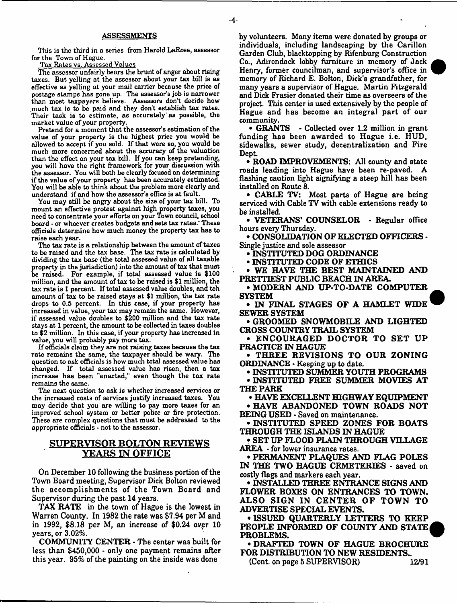This is the third in a series from Harold LaRose, assessor for the Town of Hague.

Tax Rates vs. Assessed Values

The assessor unfairly bears the brunt of anger about rising taxes. But yelling at the assessor about your tax bill is as effective as yelling at your mail carrier because the price of postage stamps has gone up. The assessor's job is narrower than most taxpayers believe. Assessors don't decide how much tax is to be paid and they don't establish tax rates. Their task is to estimate, as accurately'as possible, the market value of your property.

Pretend for a moment that the assessor's estimation of the value of your property is the highest price you would be allowed to accept if you sold. If that were so, you would be much more concerned about the accuracy of the valuation than the effect on your tax bill. If you can keep pretending, you will have the right framework for your discussion with the assessor. You will both be clearly focused on determining if the value of your property has been accurately estimated. You will be able to think about the problem more clearly and understand if and how the assessor's office is at fault.

You may still be angry about the size of your tax bill. To mount an effective protest against high property taxes, you need to concentrate your efforts on your Town council, school board - or whoever creates budgets and sets tax rates.' These officials determine how much money the property tax has to raise each year.

The tax rate is a relationship between the amount of taxes to be raised and the tax base. The tax rate is calculated by dividing the tax base (the total assessed value of all taxable property in the jurisdiction) into the amount of tax that must be raised. For example, if total assessed value is \$100 million, and the amount of tax to be raised is \$1 million, the tax rate is 1 percent. If total assessed value doubles, and teh amount of tax to be raised stays at \$1 million, the tax rate drops to 0.5 percent. In this case, if your property has increased in value, your tax may remain the same. However, if assessed value doubles to \$200 million and the tax rate stays at 1 percent, the amount to be collected in taxes doubles to \$2 million. In this case, if your property has increased in value, you will probably pay more tax.

If officials claim they are not raising taxes because the tax rate remains the same, the taxpayer should be wary. The question to ask officials is how much total assessed value has changed. If total assessed value has risen, then a tax increase has been "enacted," even though the tax rate remains the same.

The next question to ask is whether increased services or the increased costs of services justify increased taxes. You may decide that you are willing to pay more taxes for an improved school system or better police or fire protection. These are complex questions that must be addressed to the appropriate officials - not to the assessor.

# **SUPERVISOR BOLTON REVIEWS YEARS IN OFFICE**

**On December 10 following the business portion of the Town Board meeting, Supervisor Dick Bolton reviewed the accom plishm ents of the Town Board and Supervisor during the past 14 years.**

**TAX RATE in the town of Hague is the lowest in Warren County. In 1982 the rate was \$7.94 per M and in 1992, \$8.18 per M, an increase of \$0.24 over 10 years, or 3.02%.**

**COMMUNITY CENTER - The center was built for less than \$450,000 - only one payment remains after this year. 95% of the painting on the inside was done**

**by volunteers. Many items were donated by groups or individuals, including landscaping by the Carillon Garden Club, blacktopping by Rifenburg Construction Co., Adirondack lobby furniture in memory of Jack Henry, former councilman, and supervisor's office in memory of Richard E. Bolton, Dick's grandfather, for many years a supervisor of Hague. Martin Fitzgerald and Dick Frasier donated their time as overseers of the project. This center is used extensively by the people of Hague and has become an integral part of our community.**

**• GRANTS - Collected over 1.2 million in grant funding has been awarded to Hague i.e. HUD, sidewalks, sewer study, decentralization and Fire Dept**

**• ROAD IMPROVEMENTS: All county and state roads leading into Hague have been re-paved. A flashing caution light signifying a steep hill has been installed on Route 8.**

**• CABLE TV: Most parts of Hague are being serviced with Cable TV with cable extensions ready to** be installed.

**• VETERANS' COUNSELOR - Regular office hours every Thursday.**

**• CONSOLIDATION OF ELECTED OFFICERS - Single justice and sole assessor**

**• INSTITUTED DOG ORDINANCE**

**• INSTITUTED CODE OF ETHICS**

**• WE HAVE THE BEST MAINTAINED AND PRETTIEST PUBLIC BEACH IN AREA.**

**• MODERN AND UP-TO-DATE COMPUTER SYSTEM**

**• IN FINAL STAGES OF A HAMLET WIDE SEWER SYSTEM**

**• GROOMED SNOWMOBILE AND LIGHTED CROSS COUNTRY TRAIL SYSTEM**

**• ENCOURAGED DOCTOR TO SET UP PRACTICE IN HAGUE**

**• THREE REVISIONS TO OUR ZONING ORDINANCE - Keeping up to date.**

**• INSTITUTED SUMMER YOUTH PROGRAMS • INSTITUTED FREE SUMMER MOVIES AT THE PARK**

**• HAVE EXCELLENT HIGHWAY EQUIPMENT**

**• HAVE ABANDONED TOWN ROADS NOT BEING USED - Saved on maintenance.**

**• INSTITUTED SPEED ZONES FOR BOATS THROUGH THE ISLANDS IN HAGUE**

• SET UP FLOOD PLAIN T<del>H</del>ROUGH VILLAGE **AREA - for lower insurance rates.**

**• PERMANENT PLAQUES AND FLAG POLES IN THE TWO HAGUE CEMETERIES - saved on costly flags and markers each year.**

**• INSTALLED THREE ENTRANCE SIGNS AND FLOWER BOXES ON ENTRANCES TO TOWN. ALSO SIGN IN CENTER OF TOWN TO ADVERTISE SPECIAL EVENTS.**

**• ISSUED QUARTERLY LETTERS TO KEEP PEOPLE INFORMED OF COUNTY AND STATE PROBLEMS.**

**• DRAFTED TOWN OF HAGUE BROCHURE FOR DISTRIBUTION TO NEW RESIDENTS.. (Cont. on page 5 SUPERVISOR) 12/91**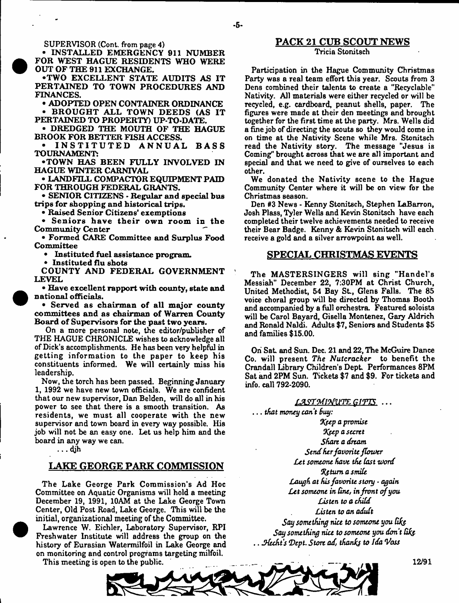**SUPERVISOR** (Cont. from page 4)

<sup>•</sup>

**• INSTALLED EMERGENCY 911 NUMBER FOR WEST HAGUE RESIDENTS WHO WERE OUT OF THE 911 EXCHANGE.**

**•TWO EXCELLENT STATE AUDITS AS IT PERTAINED TO TOWN PROCEDURES AND FINANCES.**

**• ADOPTED OPEN CONTAINER ORDINANCE • BROUGHT ALL TOWN DEEDS (AS IT** 

**PERTAINED TO PROPERTY) UP-TO-DATE.**

**• DREDGED THE MOUTH OF THE HAGUE BROOK FOR BETTER FISH ACCESS.**

**• INSTITUTED ANNUAL BASS TOURNAMENT:**

**•TOWN HAS BEEN FULLY INVOLVED IN HAGUE WINTER CARNIVAL**

**• LANDFILL COMPACTOR EQUIPMENT PAID FOR THROUGH FEDERAL GRANTS.**

**• SENIOR CITIZENS - Regular and special bus trips for shopping and historical trips.**

**• R aised Senior Citizens' exem ptions**

Seniors have their own room in the **Community Center**

**• Form ed CARE Committee and Surplus Food Com mittee**

**• Instituted fuel assistance program.**

**• Instituted flu shots**

**COUNTY AND FEDERAL GOVERNMENT LEVEL**

**• Have excellent rapport with county, state and national officials.**

**• Served as chairman of all major county** committees and as chairman of Warren County Board of Supervisors for the past two years.

**On a more personal note, the editor/publisher of THE HAGUE CHRONICLE wishes to acknowledge all of Dick's accomplishments. He has been very helpful in** getting information to the paper to keep his **constituents informed. We will certainly miss his leadership.**

**Now, the torch has been passed. Beginning January 1, 1992 we have new town officials. We are confident that our new supervisor, Dan Belden, will do all in his power to see that there is a smooth transition. As residents, we m ust all cooperate with the new supervisor and town board in every way possible. His job will not be an easy one. Let us help him and the board in any way we can.**

•

# **LAKE GEORGE PARK COMMISSION**

**The Lake George Park Commission's Ad Hoc Committee on Aquatic Organisms will hold a meeting December 19, 1991, 10AM at the Lake George Town Center, Old Post Road, Lake George. This will be the initial, organizational meeting of the Committee.**

 **Lawrence W. Eichler, Laboratory Supervisor, RPI Freshwater Institute will address the group on the history of Eurasian Watermilfoil in Lake George and on monitoring and control programs targeting milfoil.**

**This meeting is open to the public.**

### **PACK 21 CUB SCOUT NEWS Tricia Stonitsch**

Participation in the Hague Community Christmas Party was a real team effort this year. Scouts from 3 **Dens combined their talents to create a "Recyclable" Nativity. All materials were either recycled or will be recycled, e.g. cardboard, peanut ahells, paper. The figures were made at their den meetings and brought together for the first time at the party. Mrs, Wells did a fine job of directing the scouts so they would come in on time at the Nativity Scene while Mrs. Stonitsch read the Nativity story. The message "Jesus is Coming" brought across that we are all important and special and that we need to give of ourselves to each other.**

**We donated the Nativity scene to the Hague Community Center where it will be on view for the Christmas season.**

**Den #3 News - Kenny Stonitsch, Stephen LaBarron, Josh Plass, Tyler Wells and Kevin Stonitsch have each completed their twelve achievements needed to receive their Bear Badge. Kenny & Kevin Stonitsch will each receive a gold and a silver arrowpoint as well.**

### **SPECIAL CHRISTMAS EVENTS**

The MASTERSINGERS will sing "Handel's **Messiah" December 22, 7:30PM at Christ Church,** United Methodist, 54 Bay St., Glens Falls. The 85 **voice choral group will be directed by Thomas Booth and accompanied by a full orchestra. Featured soloists** will be Carol Bayard, Gisella Montenez, Gary Aldrich **and Ronald Naldi. Adults \$7, Seniors and Students \$5 and families \$15.00.**

**Oh Sat and Sun. Dec. 21 and 22, The McGuire Dance Co. will present** *The Nutcracker* **to benefit the Crandall Library Children's Dept Performances 8PM Sat and 2PM Sun. Tickets \$7 and \$9. For tickets and info, call 792-2090.**

LAST MINUTE GIFTS ...

**...** *that money can't Buy:*

*%\$ep a promise \*K\$ep ascent Short a dream Strul fur favorite flower Let someone have the fast word Tj, turn a smile Laugh at his favorite story* **-** *again* Let someone in line, in front of you *Listen to a child Listen to an adult Say something nice to someone you Say something nice to someone you don't Qks-* **..** *Slccht's \*Dept***.** *Store ad, thanfo to Ida Voss*

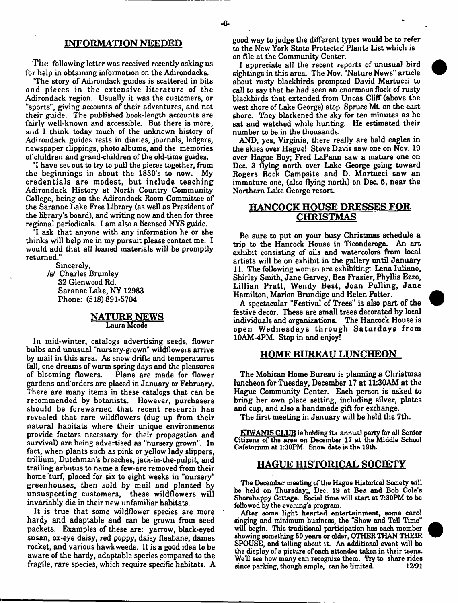### **INFORMATION NEEDED**

**The following letter was received recently asking us for help in obtaining information on the Adirondacks.**

**"The story of Adirondack guides is scattered in bits and pieces in the extensive literature of the Adirondack region. Usually it was the customers, or "sports", giving accounts of their adventures, and not their guide. The published book-length accounts are fairly well-known and accessible. But there is more, and I think today much of the unknown history of Adirondack guides rests in diaries, journals, ledgers, newspaper clippings, photo albums, and the memories of children and grand-children of the old-time guides.**

**"I have set out to try to pull the pieces together, from the beginnings in about the 1830's to now. My credentials are modest, but include teaching Adirondack History at North Country Community College, being on the Adirondack Room Committee of the Saranac Lake Free Library (as well as President of the library's board), and writing now and then for three regional periodicals. I am also a licensed NYS guide.**

**"I ask that anyone with any information he or she thinks will help me in my pursuit please contact me. I would add that all loaned materials will be promptly returned."**

> **Sincerely, /s/ Charles Brumley 32 Glenwood Rd. Saranac Lake, NY 12983 Phone: (518)891-5704**

### **NATURE NEWS** Laura Meade

**In mid-winter, catalogs advertising seeds, flower bulbs and unusual "nursery-grown" wildflowers arrive by mail in this area. As snow drifts and temperatures fall, one dreams of warm spring days and the pleasures of blooming flowers. Plans are made for flower gardens and orders are placed in January or February. There are many items in these catalogs that can be recommended by botanists. However, purchasers should be forewarned that recent research has revealed that rare wildflowers (dug up from their natural habitats where their unique environments provide factors necessary for their propagation and survival) are being advertised as "nursery grown". In** fact, when plants such as pink or yellow lady slippers, **trillium, Dutchman's breeches, jack-in-the-pulpit, and trailing arbutus to name a few-are removed from their home turf, placed for six to eight Weeks in "nursery" greenhouses, then sold by mail and planted by unsuspecting customers, these wildflowers will invariably die in their new unfamiliar habitats.**

**It is true that some wildflower species are more ' hardy and adaptable and can be grown from seed packets. Examples of these are: yarrow, black-eyed susan, ox-eye daisy, red poppy, daisy fleabane, dames rocket, and various hawkweeds. It is a good idea to be aware of the hardy, adaptable species compared to the fragile, rare species, which require specific habitats. A** **good way to judge the different types would be to refer** to the New York State Protected Plants List which is **on file at the Community Center.**

**I appreciate all the recent reports of unusual bird sightings in this area. The Nov. "Nature News" article about rusty blackbirds prompted David Martucci to call to say that he had seen an enormous flock of rusty blackbirds that extended from Uncas Cliff (above the west shore of Lake George) atop Spruce Mt. on the east shore. They blackened the sky for ten minutes as he sat and watched while hunting. He estimated their number to be in the thousands.**

**AND, yes, Virginia, there really are bald eagles in the Bkies over Hague! Steve Davis saw one on Nov. 19 over Hague Bay; Fred LaPann saw a mature one on Dec. 3 flying north over Lake George going toward Rogers Rock Campsite and D. Martucci saw an immature one, (also flying north) on Dec. 6, near the Northern Lake George resort.**

# **HANCOCK HOUSE DRESSES FOR CHRISTMAS**

**Be sure to put on your busy Christmas schedule a trip to the Hancock House in Ticonderoga. An art exhibit consisting of oils and watercolors from local artists will be on exhibit in the gallery until January 11. The following women are exhibiting: Lena Iuliano, Shirley Smith, Jane Garvey, Bea Frasier, Phyllis Ezzo, Lillian Pratt, Wendy Best, Joan Pulling, Jane Hamilton, Marion Brundige and Helen Potter.**

**A spectacular "Festival of Trees" is also part of the festive decor. These are small trees decorated by local individuals and organizations. The Hancock House is open W ed n esdays through S a tu rd a y s from 10AM-4PM. Stop in and enjoy!**

# **HOME BUREAU LUNCHEON**

**The Mohican Home Bureau is planning a Christmas luncheon for Tuesday, December 17 at 11:30AM at the Hague Community Center. Each person is asked to bring her own place setting, including silver, plates and cup, and also a handmade gift for exchange.**

**The first meeting in January will be held the 7th.**

KTWANIS CLUB is holding its annual party for all Senior Citizens of the area on December 17 at the Middle School Cafetorium at 1:30PM. Snow date is the 19th.

# **HAGUE HISTORICAL SOCIETY**

The December meeting of the Hague Historical Society will be held on Thursday;, Dec. 19 at Bea and Bob Cole's Shorehappy Cottage. Social time will start at 7:30PM to be followed by the evening's program.

After some light hearted entertainment, some carol singing and minimum business, the "Show and Tell Time" will begin. This traditional participation has each member showing something 50 years or older, OTHER THAN THEIR SPOUSE, and telling about it. An additional event will be the display of a picture of each attendee taken in their teens. Well see how many can recognize them. Try to share rides since parking, though ample, can be limited.

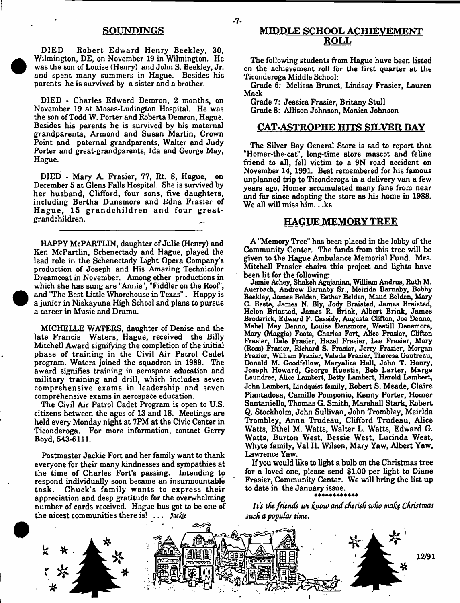### **SOUNPINGS**

**DIED - Robert Edward Henry Beekley, 30, Wilmington, DE, on November 19 in Wilmington. He was the son of Louise (Henry) and John S. Beekley, Jr. and spent many summers in Hague. Besides his parents he is survived by a sister and a brother.**

**DIED - Charles Edward Demron, 2 months, on November 19 at Moses-Ludington Hospital. He was the son of Todd W. Porter and Roberta Demron, Hague. Besides his parents he is survived by his maternal grandparents, Armond and Susan Martin, Crown Point and paternal grandparents, Walter and Judy Porter and great-grandparents, Ida and George May, Hague.**

**DIED - Mary A. Frasier, 77, Rt. 8, Hague, on December 5 at Glens Falls Hospital. She is survived by her husband, Clifford, four sons, five daughters, including Bertha Dunsmore and Edna Frasier of** Hague, 15 grandchildren and four great**grandchildren.**

**HAPPY McPARTLIN, daughter of Julie (Henry) and Ken McPartlin, Schenectady and Hague, played the lead role in the Schenectady Light Opera Company's production of Joseph and His Amazing Technicolor Dreamcoat in November. Among other productions in which she has sung are "Annie", "Fiddler on the Roof', and "The Best Little Whorehouse in Texas". Happy is a junior in Niskayuna High School and plans to pursue a career in Music and Drama.**

**MICHELLE WATERS, daughter of Denise and the late Francis Waters, Hague, received the Billy Mitchell Award signifying the completion of the initial phase of training in the Civil Air Patrol Cadet program. Waters joined the squadron in 1989. The award signifies training in aerospace education and military training and drill, which includes seven comprehensive exams in leadership and seven comprehensive exams in aerospace education.**

**The Civil Air Patrol Cadet Program is open to U.S. citizens between the ages of 13 and 18. Meetings are held every Monday night at 7PM at the Civic Center in Ticonderoga. For more information, contact Gerry Boyd, 543-6111.**

**Postmaster Jackie Fort and her family want to thank everyone for their many kindnesses and sympathies at the time of Charles Fort's passing. Intending to respond individually soon became an insurmountable task. Chuck's fam ily wants to express their appreciation and deep gratitude for the overwhelming number of cards received. Hague has got to be one of the nicest communities there is! . . .** *Jacfa*

# **MIDDLE SCHOOL ACHIEVEMENT ROLL**

**The following students from Hague have been listed on the achievement roll for the first quarter at the Ticonderoga Middle School:**

**Grade 6: Melissa Brunet, Lindsay Frasier, Lauren Mack**

**Grade 7: Jessica Frasier, Britany Stull Grade 8; Allison Johnson, Monica Johnson**

### **CAT ASTROPHE HITS SILVER BAY**

**The Silver Bay General Store is sad to report that "Homer-the-cat", long-time Btore mascot and feline friend to all, fell victim to a 9N road accident on November 14, 1991. Best remembered for his famous unplanned trip to Ticonderoga in a delivery van a few years ago, Homer accumulated many fans from near and far since adopting the store as his home in 1988. We all will miss him .. .ks**

### **HAGUE MEMORY TREE**

**A "Memory Tree" has been placed in the lobby of the Community Center. The funds from this tree will be given to the Hague Ambulance Memorial Fund. Mrs. Mitchell Frasier chairs this project and lights have been lit for the following**

Jamie Achey, Shakeh Agqjanian, William Andrus, Ruth M. Auerbach, Andrew Bamaby Sr., Mein da Baraaby, Bobby Beekley, James Bel den, Esther Belden, Maud Balden, Mazy C. Beste, James **N.** Bly, Jody Braisted, James Braisted, Helen Briasted, James R. Brink, Albert Brink, James Broderick, Edward F. Cassidy, Augusta Clifton, Joe Denno, Mabel May Denno, Louise Densmore, Westill Dansmore, Mazy (Maggie) Foote, Charles Fort, Alice Frasier, Clifton Frasier, Dale Frasier, Hazel Frasier, Lee Frasier, Mazy (Ross) Frasier, Richard S. Frasier, Jerry Frazier, Morgan Frazier, William Frazier, Valeda Frazier, Theresa Gautreau, Donald M. Goodfellow, Maryalice Hall, John T. Henry, Joseph Howard, George Huestis, Bob Larter, Marge Laundree, Alice Lambert, Betty Lambert, Harold Lambert, John Lambert, Lindquist family, **Robert S.** Meade, **Claire Piantadosa, Camille Pomponio, Kenny Porter, Homer Santaniello, Thomas G. Smith, Marshall Stark, Robert Q. Stockholm, John Sullivan, John Trombley, Meirlda Trombley,** Anna **Trudeau, Clifford Trudeau, Alice Watts, Ethel M. Watts, Walter** L. **Watts,** Edward **G. Watts, Burton West, Bessie West, Lucinda West, Whyte family, Val H. Wilson, Mazy** Yaw, **Albert** Yaw, Lawrence Yaw.

**If you would like to light a bulb on the Christmas tree for a loved one, please send \$1.00 per light to Diane Frasier, Community Center. We will bring the list up to date in the January issue.**

*It's the friends we f&ow andcherish who mak& Christmas such a popular time.*



-7-